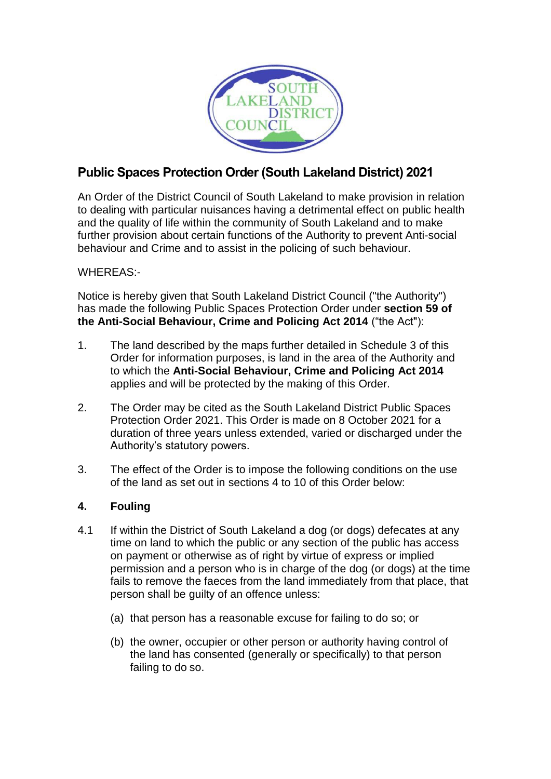

# **Public Spaces Protection Order (South Lakeland District) 2021**

An Order of the District Council of South Lakeland to make provision in relation to dealing with particular nuisances having a detrimental effect on public health and the quality of life within the community of South Lakeland and to make further provision about certain functions of the Authority to prevent Anti-social behaviour and Crime and to assist in the policing of such behaviour.

## WHEREAS:-

Notice is hereby given that South Lakeland District Council ("the Authority") has made the following Public Spaces Protection Order under **section 59 of the Anti-Social Behaviour, Crime and Policing Act 2014** ("the Act"):

- 1. The land described by the maps further detailed in Schedule 3 of this Order for information purposes, is land in the area of the Authority and to which the **Anti-Social Behaviour, Crime and Policing Act 2014** applies and will be protected by the making of this Order.
- 2. The Order may be cited as the South Lakeland District Public Spaces Protection Order 2021. This Order is made on 8 October 2021 for a duration of three years unless extended, varied or discharged under the Authority's statutory powers.
- 3. The effect of the Order is to impose the following conditions on the use of the land as set out in sections 4 to 10 of this Order below:

## **4. Fouling**

- 4.1 If within the District of South Lakeland a dog (or dogs) defecates at any time on land to which the public or any section of the public has access on payment or otherwise as of right by virtue of express or implied permission and a person who is in charge of the dog (or dogs) at the time fails to remove the faeces from the land immediately from that place, that person shall be guilty of an offence unless:
	- (a) that person has a reasonable excuse for failing to do so; or
	- (b) the owner, occupier or other person or authority having control of the land has consented (generally or specifically) to that person failing to do so.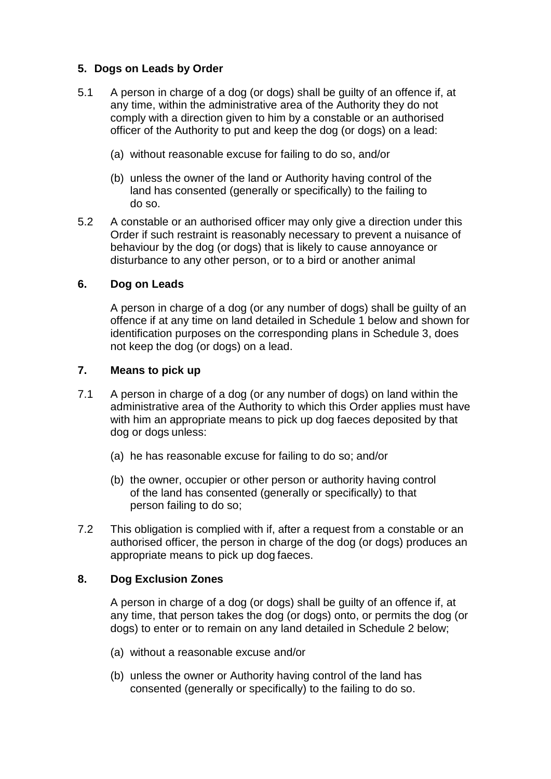## **5. Dogs on Leads by Order**

- 5.1 A person in charge of a dog (or dogs) shall be guilty of an offence if, at any time, within the administrative area of the Authority they do not comply with a direction given to him by a constable or an authorised officer of the Authority to put and keep the dog (or dogs) on a lead:
	- (a) without reasonable excuse for failing to do so, and/or
	- (b) unless the owner of the land or Authority having control of the land has consented (generally or specifically) to the failing to do so.
- 5.2 A constable or an authorised officer may only give a direction under this Order if such restraint is reasonably necessary to prevent a nuisance of behaviour by the dog (or dogs) that is likely to cause annoyance or disturbance to any other person, or to a bird or another animal

#### **6. Dog on Leads**

A person in charge of a dog (or any number of dogs) shall be guilty of an offence if at any time on land detailed in Schedule 1 below and shown for identification purposes on the corresponding plans in Schedule 3, does not keep the dog (or dogs) on a lead.

#### **7. Means to pick up**

- 7.1 A person in charge of a dog (or any number of dogs) on land within the administrative area of the Authority to which this Order applies must have with him an appropriate means to pick up dog faeces deposited by that dog or dogs unless:
	- (a) he has reasonable excuse for failing to do so; and/or
	- (b) the owner, occupier or other person or authority having control of the land has consented (generally or specifically) to that person failing to do so;
- 7.2 This obligation is complied with if, after a request from a constable or an authorised officer, the person in charge of the dog (or dogs) produces an appropriate means to pick up dog faeces.

#### **8. Dog Exclusion Zones**

A person in charge of a dog (or dogs) shall be guilty of an offence if, at any time, that person takes the dog (or dogs) onto, or permits the dog (or dogs) to enter or to remain on any land detailed in Schedule 2 below;

- (a) without a reasonable excuse and/or
- (b) unless the owner or Authority having control of the land has consented (generally or specifically) to the failing to do so.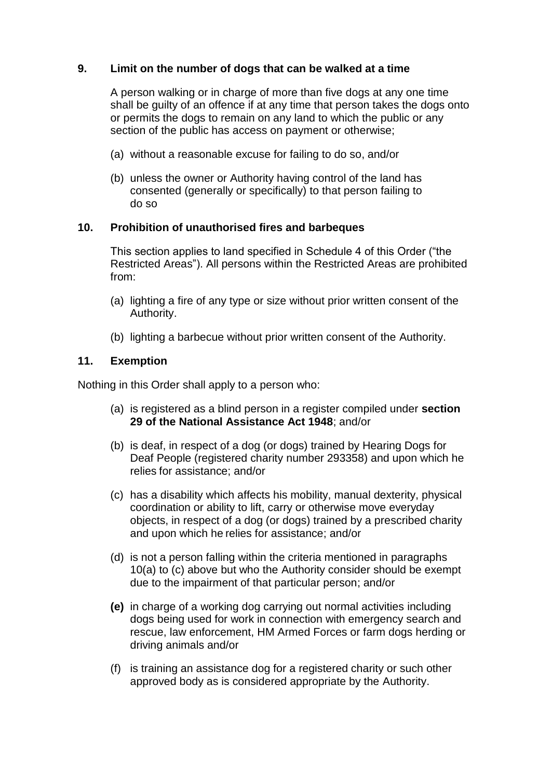### **9. Limit on the number of dogs that can be walked at a time**

A person walking or in charge of more than five dogs at any one time shall be guilty of an offence if at any time that person takes the dogs onto or permits the dogs to remain on any land to which the public or any section of the public has access on payment or otherwise;

- (a) without a reasonable excuse for failing to do so, and/or
- (b) unless the owner or Authority having control of the land has consented (generally or specifically) to that person failing to do so

#### **10. Prohibition of unauthorised fires and barbeques**

This section applies to land specified in Schedule 4 of this Order ("the Restricted Areas"). All persons within the Restricted Areas are prohibited from:

- (a) lighting a fire of any type or size without prior written consent of the Authority.
- (b) lighting a barbecue without prior written consent of the Authority.

#### **11. Exemption**

Nothing in this Order shall apply to a person who:

- (a) is registered as a blind person in a register compiled under **section 29 of the National Assistance Act 1948**; and/or
- (b) is deaf, in respect of a dog (or dogs) trained by Hearing Dogs for Deaf People (registered charity number 293358) and upon which he relies for assistance; and/or
- (c) has a disability which affects his mobility, manual dexterity, physical coordination or ability to lift, carry or otherwise move everyday objects, in respect of a dog (or dogs) trained by a prescribed charity and upon which he relies for assistance; and/or
- (d) is not a person falling within the criteria mentioned in paragraphs 10(a) to (c) above but who the Authority consider should be exempt due to the impairment of that particular person; and/or
- **(e)** in charge of a working dog carrying out normal activities including dogs being used for work in connection with emergency search and rescue, law enforcement, HM Armed Forces or farm dogs herding or driving animals and/or
- (f) is training an assistance dog for a registered charity or such other approved body as is considered appropriate by the Authority.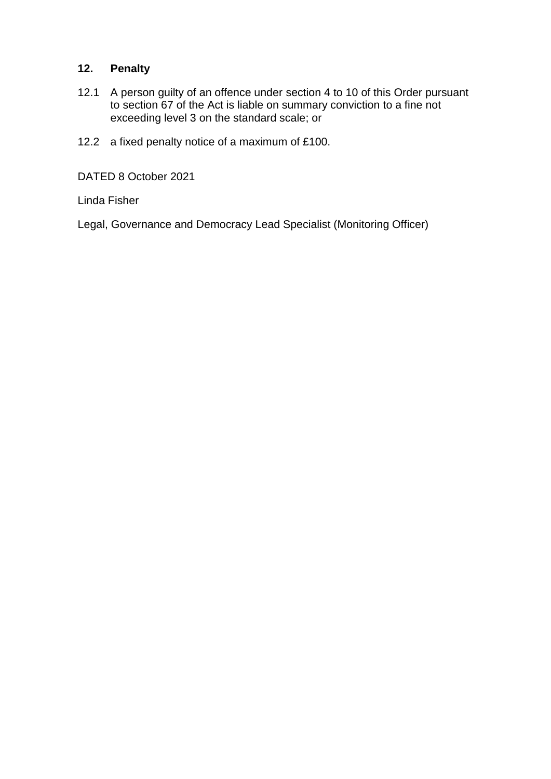## **12. Penalty**

- 12.1 A person guilty of an offence under section 4 to 10 of this Order pursuant to section 67 of the Act is liable on summary conviction to a fine not exceeding level 3 on the standard scale; or
- 12.2 a fixed penalty notice of a maximum of £100.

DATED 8 October 2021

Linda Fisher

Legal, Governance and Democracy Lead Specialist (Monitoring Officer)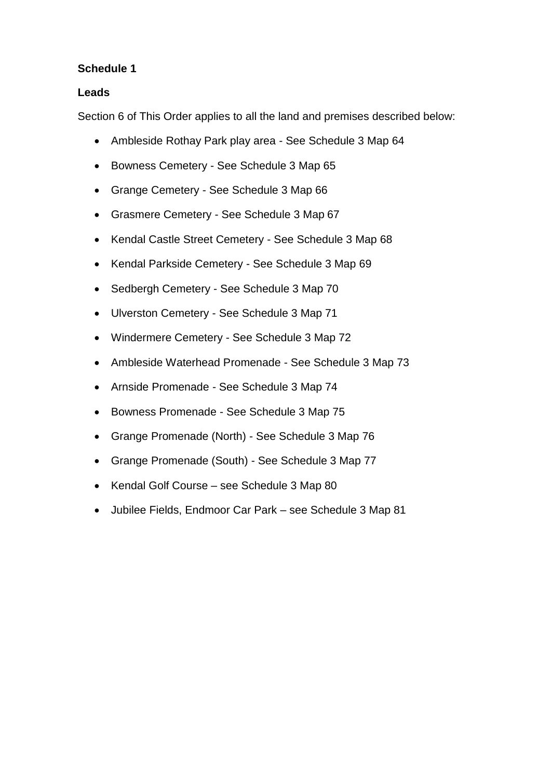#### **Leads**

Section 6 of This Order applies to all the land and premises described below:

- Ambleside Rothay Park play area See Schedule 3 Map 64
- Bowness Cemetery See Schedule 3 Map 65
- Grange Cemetery See Schedule 3 Map 66
- Grasmere Cemetery See Schedule 3 Map 67
- Kendal Castle Street Cemetery See Schedule 3 Map 68
- Kendal Parkside Cemetery See Schedule 3 Map 69
- Sedbergh Cemetery See Schedule 3 Map 70
- Ulverston Cemetery See Schedule 3 Map 71
- Windermere Cemetery See Schedule 3 Map 72
- Ambleside Waterhead Promenade See Schedule 3 Map 73
- Arnside Promenade See Schedule 3 Map 74
- Bowness Promenade See Schedule 3 Map 75
- Grange Promenade (North) See Schedule 3 Map 76
- Grange Promenade (South) See Schedule 3 Map 77
- Kendal Golf Course see Schedule 3 Map 80
- Jubilee Fields, Endmoor Car Park see Schedule 3 Map 81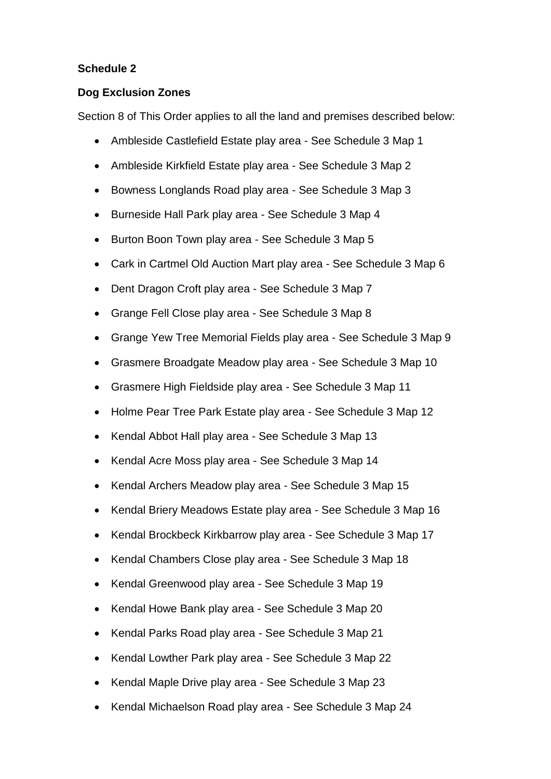#### **Dog Exclusion Zones**

Section 8 of This Order applies to all the land and premises described below:

- Ambleside Castlefield Estate play area See Schedule 3 Map 1
- Ambleside Kirkfield Estate play area See Schedule 3 Map 2
- Bowness Longlands Road play area See Schedule 3 Map 3
- Burneside Hall Park play area See Schedule 3 Map 4
- Burton Boon Town play area See Schedule 3 Map 5
- Cark in Cartmel Old Auction Mart play area See Schedule 3 Map 6
- Dent Dragon Croft play area See Schedule 3 Map 7
- Grange Fell Close play area See Schedule 3 Map 8
- Grange Yew Tree Memorial Fields play area See Schedule 3 Map 9
- Grasmere Broadgate Meadow play area See Schedule 3 Map 10
- Grasmere High Fieldside play area See Schedule 3 Map 11
- Holme Pear Tree Park Estate play area See Schedule 3 Map 12
- Kendal Abbot Hall play area See Schedule 3 Map 13
- Kendal Acre Moss play area See Schedule 3 Map 14
- Kendal Archers Meadow play area See Schedule 3 Map 15
- Kendal Briery Meadows Estate play area See Schedule 3 Map 16
- Kendal Brockbeck Kirkbarrow play area See Schedule 3 Map 17
- Kendal Chambers Close play area See Schedule 3 Map 18
- Kendal Greenwood play area See Schedule 3 Map 19
- Kendal Howe Bank play area See Schedule 3 Map 20
- Kendal Parks Road play area See Schedule 3 Map 21
- Kendal Lowther Park play area See Schedule 3 Map 22
- Kendal Maple Drive play area See Schedule 3 Map 23
- Kendal Michaelson Road play area See Schedule 3 Map 24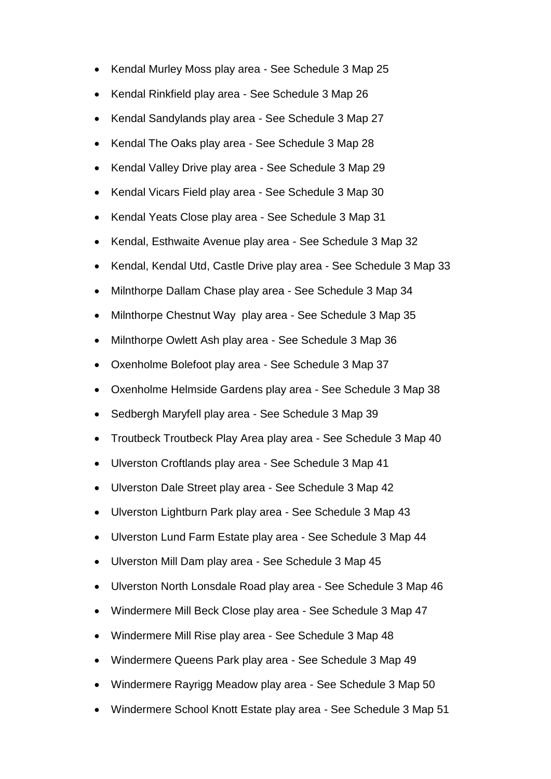- Kendal Murley Moss play area See Schedule 3 Map 25
- Kendal Rinkfield play area See Schedule 3 Map 26
- Kendal Sandylands play area See Schedule 3 Map 27
- Kendal The Oaks play area See Schedule 3 Map 28
- Kendal Valley Drive play area See Schedule 3 Map 29
- Kendal Vicars Field play area See Schedule 3 Map 30
- Kendal Yeats Close play area See Schedule 3 Map 31
- Kendal, Esthwaite Avenue play area See Schedule 3 Map 32
- Kendal, Kendal Utd, Castle Drive play area See Schedule 3 Map 33
- Milnthorpe Dallam Chase play area See Schedule 3 Map 34
- Milnthorpe Chestnut Way play area See Schedule 3 Map 35
- Milnthorpe Owlett Ash play area See Schedule 3 Map 36
- Oxenholme Bolefoot play area See Schedule 3 Map 37
- Oxenholme Helmside Gardens play area See Schedule 3 Map 38
- Sedbergh Maryfell play area See Schedule 3 Map 39
- Troutbeck Troutbeck Play Area play area See Schedule 3 Map 40
- Ulverston Croftlands play area See Schedule 3 Map 41
- Ulverston Dale Street play area See Schedule 3 Map 42
- Ulverston Lightburn Park play area See Schedule 3 Map 43
- Ulverston Lund Farm Estate play area See Schedule 3 Map 44
- Ulverston Mill Dam play area See Schedule 3 Map 45
- Ulverston North Lonsdale Road play area See Schedule 3 Map 46
- Windermere Mill Beck Close play area See Schedule 3 Map 47
- Windermere Mill Rise play area See Schedule 3 Map 48
- Windermere Queens Park play area See Schedule 3 Map 49
- Windermere Rayrigg Meadow play area See Schedule 3 Map 50
- Windermere School Knott Estate play area See Schedule 3 Map 51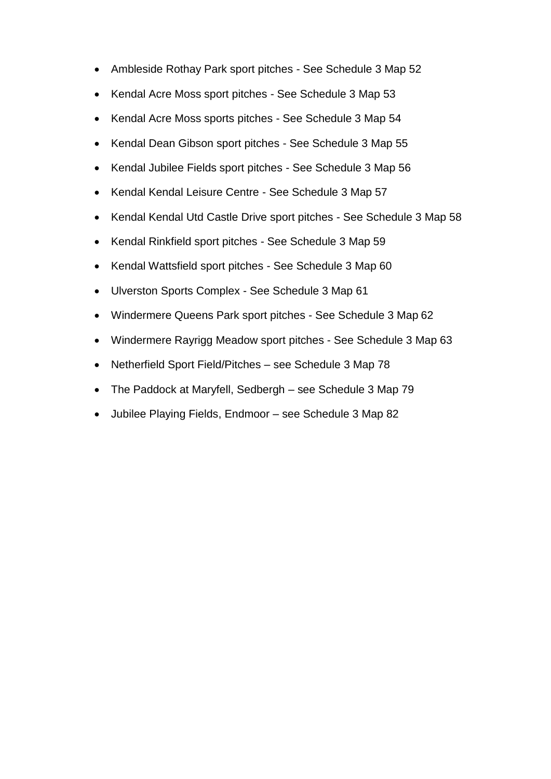- Ambleside Rothay Park sport pitches See Schedule 3 Map 52
- Kendal Acre Moss sport pitches See Schedule 3 Map 53
- Kendal Acre Moss sports pitches See Schedule 3 Map 54
- Kendal Dean Gibson sport pitches See Schedule 3 Map 55
- Kendal Jubilee Fields sport pitches See Schedule 3 Map 56
- Kendal Kendal Leisure Centre See Schedule 3 Map 57
- Kendal Kendal Utd Castle Drive sport pitches See Schedule 3 Map 58
- Kendal Rinkfield sport pitches See Schedule 3 Map 59
- Kendal Wattsfield sport pitches See Schedule 3 Map 60
- Ulverston Sports Complex See Schedule 3 Map 61
- Windermere Queens Park sport pitches See Schedule 3 Map 62
- Windermere Rayrigg Meadow sport pitches See Schedule 3 Map 63
- Netherfield Sport Field/Pitches see Schedule 3 Map 78
- The Paddock at Maryfell, Sedbergh see Schedule 3 Map 79
- Jubilee Playing Fields, Endmoor see Schedule 3 Map 82